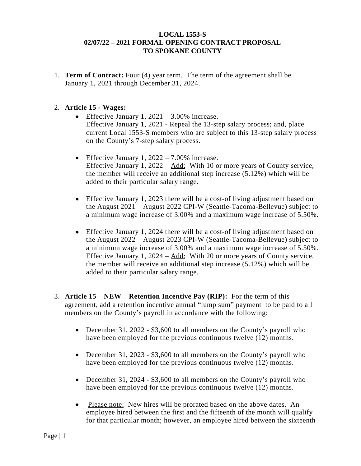## **LOCAL 1553-S 02/07/22 – 2021 FORMAL OPENING CONTRACT PROPOSAL TO SPOKANE COUNTY**

1. **Term of Contract:** Four (4) year term. The term of the agreement shall be January 1, 2021 through December 31, 2024.

## 2. **Article 15 - Wages:**

- Effective January 1,  $2021 3.00\%$  increase. Effective January 1, 2021 - Repeal the 13-step salary process; and, place current Local 1553-S members who are subject to this 13-step salary process on the County's 7-step salary process.
- Effective January 1,  $2022 7.00\%$  increase. Effective January 1, 2022 – Add: With 10 or more years of County service, the member will receive an additional step increase (5.12%) which will be added to their particular salary range.
- Effective January 1, 2023 there will be a cost-of living adjustment based on the August 2021 – August 2022 CPI-W (Seattle-Tacoma-Bellevue) subject to a minimum wage increase of 3.00% and a maximum wage increase of 5.50%.
- Effective January 1, 2024 there will be a cost-of living adjustment based on the August 2022 – August 2023 CPI-W (Seattle-Tacoma-Bellevue) subject to a minimum wage increase of 3.00% and a maximum wage increase of 5.50%. Effective January 1, 2024 – Add: With 20 or more years of County service, the member will receive an additional step increase (5.12%) which will be added to their particular salary range.
- 3. **Article 15 – NEW – Retention Incentive Pay (RIP):** For the term of this agreement, add a retention incentive annual "lump sum" payment to be paid to all members on the County's payroll in accordance with the following:
	- December 31, 2022 \$3,600 to all members on the County's payroll who have been employed for the previous continuous twelve (12) months.
	- December 31, 2023 \$3,600 to all members on the County's payroll who have been employed for the previous continuous twelve (12) months.
	- December 31, 2024 \$3,600 to all members on the County's payroll who have been employed for the previous continuous twelve (12) months.
	- Please note: New hires will be prorated based on the above dates. An employee hired between the first and the fifteenth of the month will qualify for that particular month; however, an employee hired between the sixteenth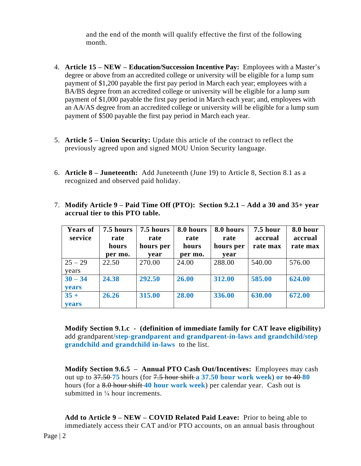and the end of the month will qualify effective the first of the following month.

- 4. **Article 15 – NEW – Education/Succession Incentive Pay:** Employees with a Master's degree or above from an accredited college or university will be eligible for a lump sum payment of \$1,200 payable the first pay period in March each year; employees with a BA/BS degree from an accredited college or university will be eligible for a lump sum payment of \$1,000 payable the first pay period in March each year; and, employees with an AA/AS degree from an accredited college or university will be eligible for a lump sum payment of \$500 payable the first pay period in March each year.
- 5. **Article 5 – Union Security:** Update this article of the contract to reflect the previously agreed upon and signed MOU Union Security language.
- 6. **Article 8 – Juneteenth:** Add Juneteenth (June 19) to Article 8, Section 8.1 as a recognized and observed paid holiday.
- 7. **Modify Article 9 – Paid Time Off (PTO): Section 9.2.1 – Add a 30 and 35+ year accrual tier to this PTO table.**

| <b>Years of</b><br>service | 7.5 hours<br>rate<br>hours<br>per mo. | 7.5 hours<br>rate<br>hours per<br>year | 8.0 hours<br>rate<br>hours<br>per mo. | 8.0 hours<br>rate<br>hours per<br>year | <b>7.5 hour</b><br>accrual<br>rate max | 8.0 hour<br>accrual<br>rate max |
|----------------------------|---------------------------------------|----------------------------------------|---------------------------------------|----------------------------------------|----------------------------------------|---------------------------------|
| $25 - 29$<br>years         | 22.50                                 | 270.00                                 | 24.00                                 | 288.00                                 | 540.00                                 | 576.00                          |
| $30 - 34$<br>years         | 24.38                                 | 292.50                                 | 26.00                                 | 312.00                                 | 585.00                                 | 624.00                          |
| $35 +$<br><b>vears</b>     | 26.26                                 | 315.00                                 | 28.00                                 | 336.00                                 | 630.00                                 | 672.00                          |

**Modify Section 9.1.c - (definition of immediate family for CAT leave eligibility)** add grandparent/**step-grandparent and grandparent-in-laws and grandchild/step grandchild and grandchild in-laws** to the list.

**Modify Section 9.6.5 – Annual PTO Cash Out/Incentives:** Employees may cash out up to 37.50 **75** hours (for 7.5 hour shift **a 37.50 hour work week**) **or** to 40 **80** hours (for a 8.0 hour shift **40 hour work week**) per calendar year. Cash out is submitted in  $\frac{1}{4}$  hour increments.

**Add to Article 9 – NEW – COVID Related Paid Leave:** Prior to being able to immediately access their CAT and/or PTO accounts, on an annual basis throughout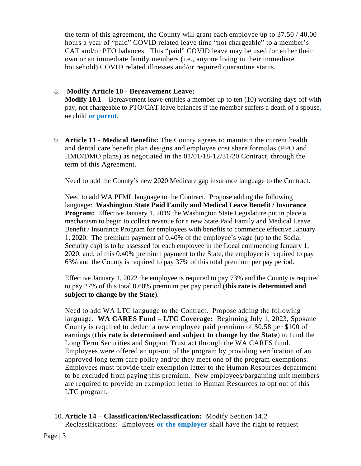the term of this agreement, the County will grant each employee up to 37.50 / 40.00 hours a year of "paid" COVID related leave time "not chargeable" to a member's CAT and/or PTO balances. This "paid" COVID leave may be used for either their own or an immediate family members (i.e., anyone living in their immediate household) COVID related illnesses and/or required quarantine status.

## 8. **Modify Article 10 - Bereavement Leave:**

**Modify 10.1 –** Bereavement leave entitles a member up to ten (10) working days off with pay, not chargeable to PTO/CAT leave balances if the member suffers a death of a spouse**,** or child **or parent**.

9. **Article 11 - Medical Benefits:** The County agrees to maintain the current health and dental care benefit plan designs and employee cost share formulas (PPO and HMO/DMO plans) as negotiated in the 01/01/18-12/31/20 Contract, through the term of this Agreement.

Need to add the County's new 2020 Medicare gap insurance language to the Contract.

Need to add WA PFML language to the Contract. Propose adding the following language: **Washington State Paid Family and Medical Leave Benefit / Insurance Program:** Effective January 1, 2019 the Washington State Legislature put in place a mechanism to begin to collect revenue for a new State Paid Family and Medical Leave Benefit / Insurance Program for employees with benefits to commence effective January 1, 2020. The premium payment of 0.40% of the employee's wage (up to the Social Security cap) is to be assessed for each employee in the Local commencing January 1, 2020; and, of this 0.40% premium payment to the State, the employee is required to pay 63% and the County is required to pay 37% of this total premium per pay period.

Effective January 1, 2022 the employee is required to pay 73% and the County is required to pay 27% of this total 0.60% premium per pay period (**this rate is determined and subject to change by the State**).

Need to add WA LTC language to the Contract. Propose adding the following language. **WA CARES Fund – LTC Coverage:** Beginning July 1, 2023, Spokane County is required to deduct a new employee paid premium of \$0.58 per \$100 of earnings (**this rate is determined and subject to change by the State**) to fund the Long Term Securities and Support Trust act through the WA CARES fund. Employees were offered an opt-out of the program by providing verification of an approved long term care policy and/or they meet one of the program exemptions. Employees must provide their exemption letter to the Human Resources department to be excluded from paying this premium. New employees/bargaining unit members are required to provide an exemption letter to Human Resources to opt out of this LTC program.

10. **Article 14 – Classification/Reclassification:** Modify Section 14.2 Reclassifications: Employees **or the employer** shall have the right to request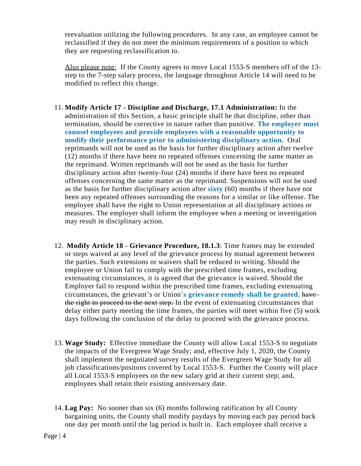reevaluation utilizing the following procedures. In any case, an employee cannot be reclassified if they do not meet the minimum requirements of a position to which they are requesting reclassification to.

Also please note: If the County agrees to move Local 1553-S members off of the 13 step to the 7-step salary process, the language throughout Article 14 will need to be modified to reflect this change.

- 11. **Modify Article 17 - Discipline and Discharge, 17.1 Administration:** In the administration of this Section, a basic principle shall be that discipline, other than termination, should be corrective in nature rather than punitive. **The employer must counsel employees and provide employees with a reasonable opportunity to modify their performance prior to administering disciplinary action.** Oral reprimands will not be used as the basis for further disciplinary action after twelve (12) months if there have been no repeated offenses concerning the same matter as the reprimand. Written reprimands will not be used as the basis for further disciplinary action after twenty-four (24) months if there have been no repeated offenses concerning the same matter as the reprimand. Suspensions will not be used as the basis for further disciplinary action after **sixty** (60) months if there have not been any repeated offenses surrounding the reasons for a similar or like offense. The employee shall have the right to Union representation at all disciplinary actions or measures. The employer shall inform the employee when a meeting or investigation may result in disciplinary action.
- 12. **Modify Article 18 - Grievance Procedure, 18.1.3**: Time frames may be extended or steps waived at any level of the grievance process by mutual agreement between the parties. Such extensions or waivers shall be reduced to writing. Should the employee or Union fail to comply with the prescribed time frames, excluding extenuating circumstances, it is agreed that the grievance is waived. Should the Employer fail to respond within the prescribed time frames, excluding extenuating circumstances, the grievant's or Union'**s grievance remedy shall be granted.** have the right to proceed to the next step. In the event of extenuating circumstances that delay either party meeting the time frames, the parties will meet within five (5) work days following the conclusion of the delay to proceed with the grievance process.
- 13. **Wage Study:** Effective immediate the County will allow Local 1553-S to negotiate the impacts of the Evergreen Wage Study; and, effective July 1, 2020, the County shall implement the negotiated survey results of the Evergreen Wage Study for all job classifications/positons covered by Local 1553-S. Further the County will place all Local 1553-S employees on the new salary grid at their current step; and, employees shall retain their existing anniversary date.
- 14. **Lag Pay:** No sooner than six (6) months following ratification by all County bargaining units, the County shall modify paydays by moving each pay period back one day per month until the lag period is built in. Each employee shall receive a